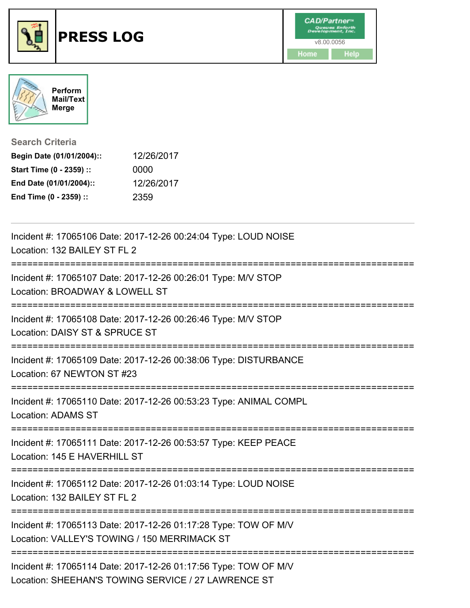



**Search Criteria**

| Begin Date (01/01/2004):: | 12/26/2017 |
|---------------------------|------------|
| Start Time (0 - 2359) ::  | 0000       |
| End Date (01/01/2004)::   | 12/26/2017 |
| End Time (0 - 2359) ::    | 2359       |

| Incident #: 17065106 Date: 2017-12-26 00:24:04 Type: LOUD NOISE<br>Location: 132 BAILEY ST FL 2                        |
|------------------------------------------------------------------------------------------------------------------------|
| Incident #: 17065107 Date: 2017-12-26 00:26:01 Type: M/V STOP<br>Location: BROADWAY & LOWELL ST                        |
| Incident #: 17065108 Date: 2017-12-26 00:26:46 Type: M/V STOP<br>Location: DAISY ST & SPRUCE ST                        |
| Incident #: 17065109 Date: 2017-12-26 00:38:06 Type: DISTURBANCE<br>Location: 67 NEWTON ST #23                         |
| Incident #: 17065110 Date: 2017-12-26 00:53:23 Type: ANIMAL COMPL<br><b>Location: ADAMS ST</b>                         |
| Incident #: 17065111 Date: 2017-12-26 00:53:57 Type: KEEP PEACE<br>Location: 145 E HAVERHILL ST                        |
| Incident #: 17065112 Date: 2017-12-26 01:03:14 Type: LOUD NOISE<br>Location: 132 BAILEY ST FL 2                        |
| Incident #: 17065113 Date: 2017-12-26 01:17:28 Type: TOW OF M/V<br>Location: VALLEY'S TOWING / 150 MERRIMACK ST        |
| Incident #: 17065114 Date: 2017-12-26 01:17:56 Type: TOW OF M/V<br>Location: SHEEHAN'S TOWING SERVICE / 27 LAWRENCE ST |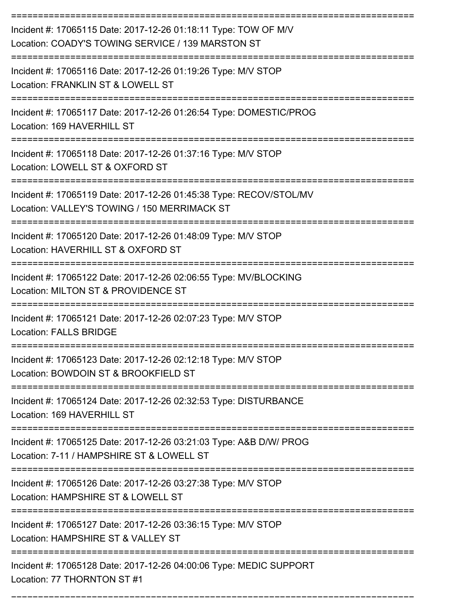| Incident #: 17065115 Date: 2017-12-26 01:18:11 Type: TOW OF M/V<br>Location: COADY'S TOWING SERVICE / 139 MARSTON ST                                |
|-----------------------------------------------------------------------------------------------------------------------------------------------------|
| Incident #: 17065116 Date: 2017-12-26 01:19:26 Type: M/V STOP<br>Location: FRANKLIN ST & LOWELL ST                                                  |
| Incident #: 17065117 Date: 2017-12-26 01:26:54 Type: DOMESTIC/PROG<br>Location: 169 HAVERHILL ST                                                    |
| Incident #: 17065118 Date: 2017-12-26 01:37:16 Type: M/V STOP<br>Location: LOWELL ST & OXFORD ST                                                    |
| Incident #: 17065119 Date: 2017-12-26 01:45:38 Type: RECOV/STOL/MV<br>Location: VALLEY'S TOWING / 150 MERRIMACK ST                                  |
| Incident #: 17065120 Date: 2017-12-26 01:48:09 Type: M/V STOP<br>Location: HAVERHILL ST & OXFORD ST                                                 |
| Incident #: 17065122 Date: 2017-12-26 02:06:55 Type: MV/BLOCKING<br>Location: MILTON ST & PROVIDENCE ST<br>=========================<br>=========== |
| Incident #: 17065121 Date: 2017-12-26 02:07:23 Type: M/V STOP<br><b>Location: FALLS BRIDGE</b>                                                      |
| Incident #: 17065123 Date: 2017-12-26 02:12:18 Type: M/V STOP<br>Location: BOWDOIN ST & BROOKFIELD ST                                               |
| Incident #: 17065124 Date: 2017-12-26 02:32:53 Type: DISTURBANCE<br>Location: 169 HAVERHILL ST                                                      |
| Incident #: 17065125 Date: 2017-12-26 03:21:03 Type: A&B D/W/ PROG<br>Location: 7-11 / HAMPSHIRE ST & LOWELL ST                                     |
| ---------------------<br>Incident #: 17065126 Date: 2017-12-26 03:27:38 Type: M/V STOP<br>Location: HAMPSHIRE ST & LOWELL ST                        |
| Incident #: 17065127 Date: 2017-12-26 03:36:15 Type: M/V STOP<br>Location: HAMPSHIRE ST & VALLEY ST                                                 |
| Incident #: 17065128 Date: 2017-12-26 04:00:06 Type: MEDIC SUPPORT<br>Location: 77 THORNTON ST #1                                                   |

===========================================================================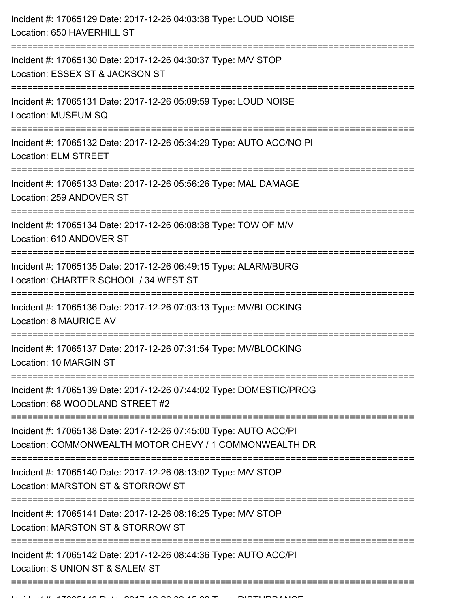| Incident #: 17065129 Date: 2017-12-26 04:03:38 Type: LOUD NOISE<br>Location: 650 HAVERHILL ST                                |
|------------------------------------------------------------------------------------------------------------------------------|
| Incident #: 17065130 Date: 2017-12-26 04:30:37 Type: M/V STOP<br>Location: ESSEX ST & JACKSON ST<br>======================== |
| Incident #: 17065131 Date: 2017-12-26 05:09:59 Type: LOUD NOISE<br>Location: MUSEUM SQ                                       |
| Incident #: 17065132 Date: 2017-12-26 05:34:29 Type: AUTO ACC/NO PI<br>Location: ELM STREET                                  |
| Incident #: 17065133 Date: 2017-12-26 05:56:26 Type: MAL DAMAGE<br>Location: 259 ANDOVER ST                                  |
| Incident #: 17065134 Date: 2017-12-26 06:08:38 Type: TOW OF M/V<br>Location: 610 ANDOVER ST                                  |
| Incident #: 17065135 Date: 2017-12-26 06:49:15 Type: ALARM/BURG<br>Location: CHARTER SCHOOL / 34 WEST ST                     |
| Incident #: 17065136 Date: 2017-12-26 07:03:13 Type: MV/BLOCKING<br>Location: 8 MAURICE AV                                   |
| Incident #: 17065137 Date: 2017-12-26 07:31:54 Type: MV/BLOCKING<br><b>Location: 10 MARGIN ST</b>                            |
| Incident #: 17065139 Date: 2017-12-26 07:44:02 Type: DOMESTIC/PROG<br>Location: 68 WOODLAND STREET #2                        |
| Incident #: 17065138 Date: 2017-12-26 07:45:00 Type: AUTO ACC/PI<br>Location: COMMONWEALTH MOTOR CHEVY / 1 COMMONWEALTH DR   |
| Incident #: 17065140 Date: 2017-12-26 08:13:02 Type: M/V STOP<br>Location: MARSTON ST & STORROW ST                           |
| Incident #: 17065141 Date: 2017-12-26 08:16:25 Type: M/V STOP<br>Location: MARSTON ST & STORROW ST                           |
| Incident #: 17065142 Date: 2017-12-26 08:44:36 Type: AUTO ACC/PI<br>Location: S UNION ST & SALEM ST                          |
|                                                                                                                              |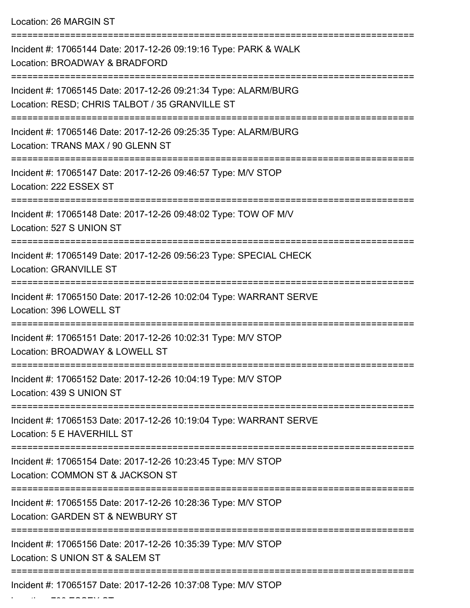Location: 26 MARGIN ST

| Incident #: 17065144 Date: 2017-12-26 09:19:16 Type: PARK & WALK<br>Location: BROADWAY & BRADFORD<br>-------------------- |
|---------------------------------------------------------------------------------------------------------------------------|
| Incident #: 17065145 Date: 2017-12-26 09:21:34 Type: ALARM/BURG<br>Location: RESD; CHRIS TALBOT / 35 GRANVILLE ST         |
| Incident #: 17065146 Date: 2017-12-26 09:25:35 Type: ALARM/BURG<br>Location: TRANS MAX / 90 GLENN ST                      |
| Incident #: 17065147 Date: 2017-12-26 09:46:57 Type: M/V STOP<br>Location: 222 ESSEX ST                                   |
| Incident #: 17065148 Date: 2017-12-26 09:48:02 Type: TOW OF M/V<br>Location: 527 S UNION ST                               |
| Incident #: 17065149 Date: 2017-12-26 09:56:23 Type: SPECIAL CHECK<br><b>Location: GRANVILLE ST</b>                       |
| Incident #: 17065150 Date: 2017-12-26 10:02:04 Type: WARRANT SERVE<br>Location: 396 LOWELL ST                             |
| Incident #: 17065151 Date: 2017-12-26 10:02:31 Type: M/V STOP<br>Location: BROADWAY & LOWELL ST                           |
| Incident #: 17065152 Date: 2017-12-26 10:04:19 Type: M/V STOP<br>Location: 439 S UNION ST                                 |
| Incident #: 17065153 Date: 2017-12-26 10:19:04 Type: WARRANT SERVE<br>Location: 5 E HAVERHILL ST                          |
| Incident #: 17065154 Date: 2017-12-26 10:23:45 Type: M/V STOP<br>Location: COMMON ST & JACKSON ST                         |
| Incident #: 17065155 Date: 2017-12-26 10:28:36 Type: M/V STOP<br>Location: GARDEN ST & NEWBURY ST                         |
| Incident #: 17065156 Date: 2017-12-26 10:35:39 Type: M/V STOP<br>Location: S UNION ST & SALEM ST                          |
| Incident #: 17065157 Date: 2017-12-26 10:37:08 Type: M/V STOP                                                             |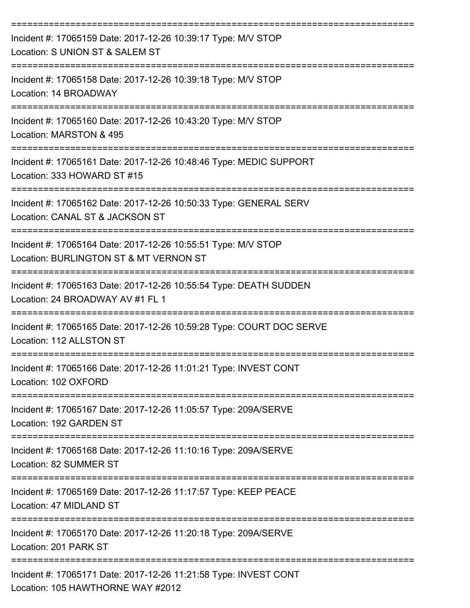| Incident #: 17065159 Date: 2017-12-26 10:39:17 Type: M/V STOP<br>Location: S UNION ST & SALEM ST                            |
|-----------------------------------------------------------------------------------------------------------------------------|
| Incident #: 17065158 Date: 2017-12-26 10:39:18 Type: M/V STOP<br>Location: 14 BROADWAY                                      |
| Incident #: 17065160 Date: 2017-12-26 10:43:20 Type: M/V STOP<br>Location: MARSTON & 495                                    |
| Incident #: 17065161 Date: 2017-12-26 10:48:46 Type: MEDIC SUPPORT<br>Location: 333 HOWARD ST #15                           |
| Incident #: 17065162 Date: 2017-12-26 10:50:33 Type: GENERAL SERV<br>Location: CANAL ST & JACKSON ST                        |
| Incident #: 17065164 Date: 2017-12-26 10:55:51 Type: M/V STOP<br>Location: BURLINGTON ST & MT VERNON ST                     |
| Incident #: 17065163 Date: 2017-12-26 10:55:54 Type: DEATH SUDDEN<br>Location: 24 BROADWAY AV #1 FL 1                       |
| Incident #: 17065165 Date: 2017-12-26 10:59:28 Type: COURT DOC SERVE<br>Location: 112 ALLSTON ST                            |
| Incident #: 17065166 Date: 2017-12-26 11:01:21 Type: INVEST CONT<br>Location: 102 OXFORD                                    |
| =============================<br>Incident #: 17065167 Date: 2017-12-26 11:05:57 Type: 209A/SERVE<br>Location: 192 GARDEN ST |
| Incident #: 17065168 Date: 2017-12-26 11:10:16 Type: 209A/SERVE<br>Location: 82 SUMMER ST                                   |
| Incident #: 17065169 Date: 2017-12-26 11:17:57 Type: KEEP PEACE<br>Location: 47 MIDLAND ST                                  |
| Incident #: 17065170 Date: 2017-12-26 11:20:18 Type: 209A/SERVE<br>Location: 201 PARK ST                                    |
| Incident #: 17065171 Date: 2017-12-26 11:21:58 Type: INVEST CONT<br>Location: 105 HAWTHORNE WAY #2012                       |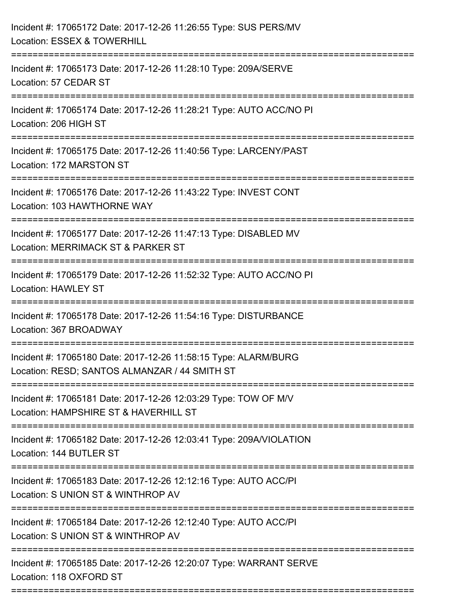| Incident #: 17065172 Date: 2017-12-26 11:26:55 Type: SUS PERS/MV<br>Location: ESSEX & TOWERHILL                  |
|------------------------------------------------------------------------------------------------------------------|
| Incident #: 17065173 Date: 2017-12-26 11:28:10 Type: 209A/SERVE<br>Location: 57 CEDAR ST                         |
| Incident #: 17065174 Date: 2017-12-26 11:28:21 Type: AUTO ACC/NO PI<br>Location: 206 HIGH ST                     |
| Incident #: 17065175 Date: 2017-12-26 11:40:56 Type: LARCENY/PAST<br>Location: 172 MARSTON ST                    |
| Incident #: 17065176 Date: 2017-12-26 11:43:22 Type: INVEST CONT<br>Location: 103 HAWTHORNE WAY                  |
| Incident #: 17065177 Date: 2017-12-26 11:47:13 Type: DISABLED MV<br>Location: MERRIMACK ST & PARKER ST           |
| Incident #: 17065179 Date: 2017-12-26 11:52:32 Type: AUTO ACC/NO PI<br><b>Location: HAWLEY ST</b>                |
| Incident #: 17065178 Date: 2017-12-26 11:54:16 Type: DISTURBANCE<br>Location: 367 BROADWAY                       |
| Incident #: 17065180 Date: 2017-12-26 11:58:15 Type: ALARM/BURG<br>Location: RESD; SANTOS ALMANZAR / 44 SMITH ST |
| Incident #: 17065181 Date: 2017-12-26 12:03:29 Type: TOW OF M/V<br>Location: HAMPSHIRE ST & HAVERHILL ST         |
| Incident #: 17065182 Date: 2017-12-26 12:03:41 Type: 209A/VIOLATION<br>Location: 144 BUTLER ST                   |
| Incident #: 17065183 Date: 2017-12-26 12:12:16 Type: AUTO ACC/PI<br>Location: S UNION ST & WINTHROP AV           |
| Incident #: 17065184 Date: 2017-12-26 12:12:40 Type: AUTO ACC/PI<br>Location: S UNION ST & WINTHROP AV           |
| Incident #: 17065185 Date: 2017-12-26 12:20:07 Type: WARRANT SERVE<br>Location: 118 OXFORD ST                    |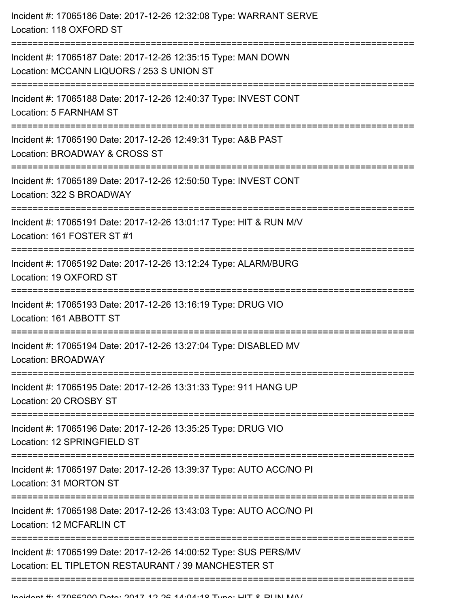| Incident #: 17065186 Date: 2017-12-26 12:32:08 Type: WARRANT SERVE<br>Location: 118 OXFORD ST                                                     |
|---------------------------------------------------------------------------------------------------------------------------------------------------|
| Incident #: 17065187 Date: 2017-12-26 12:35:15 Type: MAN DOWN<br>Location: MCCANN LIQUORS / 253 S UNION ST<br>;================================== |
| Incident #: 17065188 Date: 2017-12-26 12:40:37 Type: INVEST CONT<br>Location: 5 FARNHAM ST                                                        |
| Incident #: 17065190 Date: 2017-12-26 12:49:31 Type: A&B PAST<br>Location: BROADWAY & CROSS ST                                                    |
| Incident #: 17065189 Date: 2017-12-26 12:50:50 Type: INVEST CONT<br>Location: 322 S BROADWAY                                                      |
| Incident #: 17065191 Date: 2017-12-26 13:01:17 Type: HIT & RUN M/V<br>Location: 161 FOSTER ST #1                                                  |
| Incident #: 17065192 Date: 2017-12-26 13:12:24 Type: ALARM/BURG<br>Location: 19 OXFORD ST                                                         |
| Incident #: 17065193 Date: 2017-12-26 13:16:19 Type: DRUG VIO<br>Location: 161 ABBOTT ST                                                          |
| Incident #: 17065194 Date: 2017-12-26 13:27:04 Type: DISABLED MV<br><b>Location: BROADWAY</b>                                                     |
| Incident #: 17065195 Date: 2017-12-26 13:31:33 Type: 911 HANG UP<br>Location: 20 CROSBY ST                                                        |
| Incident #: 17065196 Date: 2017-12-26 13:35:25 Type: DRUG VIO<br>Location: 12 SPRINGFIELD ST                                                      |
| Incident #: 17065197 Date: 2017-12-26 13:39:37 Type: AUTO ACC/NO PI<br>Location: 31 MORTON ST                                                     |
| Incident #: 17065198 Date: 2017-12-26 13:43:03 Type: AUTO ACC/NO PI<br>Location: 12 MCFARLIN CT                                                   |
| Incident #: 17065199 Date: 2017-12-26 14:00:52 Type: SUS PERS/MV<br>Location: EL TIPLETON RESTAURANT / 39 MANCHESTER ST                           |
|                                                                                                                                                   |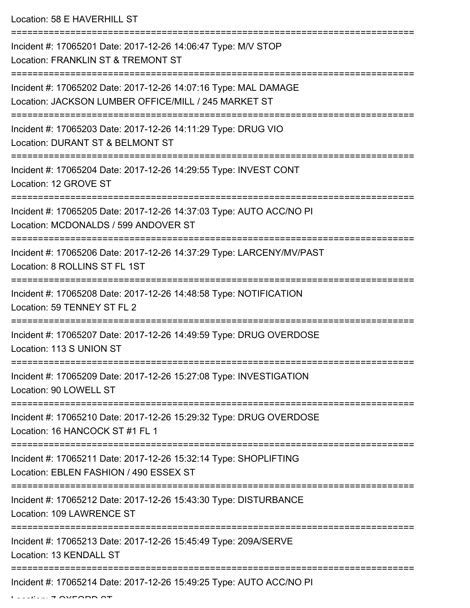Location: 58 E HAVERHILL ST

| Incident #: 17065201 Date: 2017-12-26 14:06:47 Type: M/V STOP<br>Location: FRANKLIN ST & TREMONT ST                     |
|-------------------------------------------------------------------------------------------------------------------------|
| Incident #: 17065202 Date: 2017-12-26 14:07:16 Type: MAL DAMAGE<br>Location: JACKSON LUMBER OFFICE/MILL / 245 MARKET ST |
| Incident #: 17065203 Date: 2017-12-26 14:11:29 Type: DRUG VIO<br>Location: DURANT ST & BELMONT ST                       |
| Incident #: 17065204 Date: 2017-12-26 14:29:55 Type: INVEST CONT<br>Location: 12 GROVE ST                               |
| Incident #: 17065205 Date: 2017-12-26 14:37:03 Type: AUTO ACC/NO PI<br>Location: MCDONALDS / 599 ANDOVER ST             |
| Incident #: 17065206 Date: 2017-12-26 14:37:29 Type: LARCENY/MV/PAST<br>Location: 8 ROLLINS ST FL 1ST                   |
| Incident #: 17065208 Date: 2017-12-26 14:48:58 Type: NOTIFICATION<br>Location: 59 TENNEY ST FL 2                        |
| Incident #: 17065207 Date: 2017-12-26 14:49:59 Type: DRUG OVERDOSE<br>Location: 113 S UNION ST                          |
| Incident #: 17065209 Date: 2017-12-26 15:27:08 Type: INVESTIGATION<br>Location: 90 LOWELL ST                            |
| Incident #: 17065210 Date: 2017-12-26 15:29:32 Type: DRUG OVERDOSE<br>Location: 16 HANCOCK ST #1 FL 1                   |
| Incident #: 17065211 Date: 2017-12-26 15:32:14 Type: SHOPLIFTING<br>Location: EBLEN FASHION / 490 ESSEX ST              |
| Incident #: 17065212 Date: 2017-12-26 15:43:30 Type: DISTURBANCE<br>Location: 109 LAWRENCE ST                           |
| Incident #: 17065213 Date: 2017-12-26 15:45:49 Type: 209A/SERVE<br>Location: 13 KENDALL ST                              |
| Incident #: 17065214 Date: 2017-12-26 15:49:25 Type: AUTO ACC/NO PI                                                     |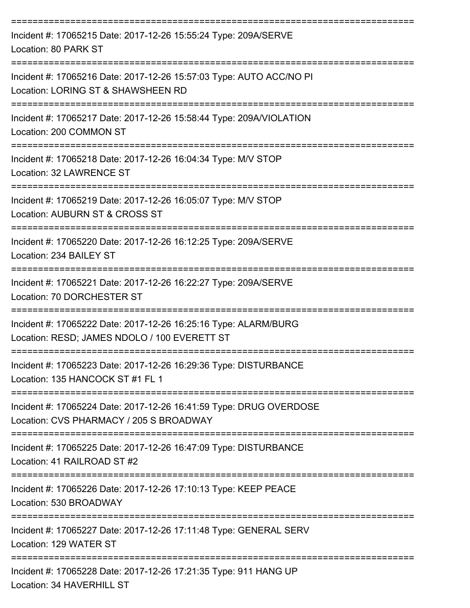| Incident #: 17065215 Date: 2017-12-26 15:55:24 Type: 209A/SERVE<br>Location: 80 PARK ST                                  |
|--------------------------------------------------------------------------------------------------------------------------|
| Incident #: 17065216 Date: 2017-12-26 15:57:03 Type: AUTO ACC/NO PI<br>Location: LORING ST & SHAWSHEEN RD                |
| Incident #: 17065217 Date: 2017-12-26 15:58:44 Type: 209A/VIOLATION<br>Location: 200 COMMON ST                           |
| Incident #: 17065218 Date: 2017-12-26 16:04:34 Type: M/V STOP<br>Location: 32 LAWRENCE ST                                |
| Incident #: 17065219 Date: 2017-12-26 16:05:07 Type: M/V STOP<br>Location: AUBURN ST & CROSS ST                          |
| Incident #: 17065220 Date: 2017-12-26 16:12:25 Type: 209A/SERVE<br>Location: 234 BAILEY ST                               |
| Incident #: 17065221 Date: 2017-12-26 16:22:27 Type: 209A/SERVE<br>Location: 70 DORCHESTER ST                            |
| Incident #: 17065222 Date: 2017-12-26 16:25:16 Type: ALARM/BURG<br>Location: RESD; JAMES NDOLO / 100 EVERETT ST          |
| Incident #: 17065223 Date: 2017-12-26 16:29:36 Type: DISTURBANCE<br>Location: 135 HANCOCK ST #1 FL 1                     |
| Incident #: 17065224 Date: 2017-12-26 16:41:59 Type: DRUG OVERDOSE<br>Location: CVS PHARMACY / 205 S BROADWAY            |
| Incident #: 17065225 Date: 2017-12-26 16:47:09 Type: DISTURBANCE<br>Location: 41 RAILROAD ST #2                          |
| --------------------------<br>Incident #: 17065226 Date: 2017-12-26 17:10:13 Type: KEEP PEACE<br>Location: 530 BROADWAY  |
| Incident #: 17065227 Date: 2017-12-26 17:11:48 Type: GENERAL SERV<br>Location: 129 WATER ST                              |
| -----------------------<br>Incident #: 17065228 Date: 2017-12-26 17:21:35 Type: 911 HANG UP<br>Location: 34 HAVERHILL ST |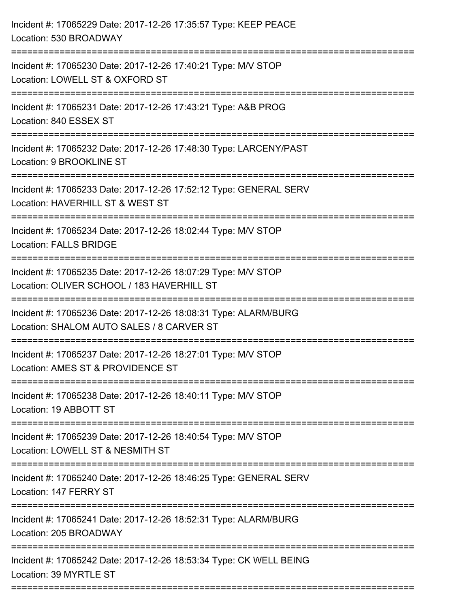| Incident #: 17065229 Date: 2017-12-26 17:35:57 Type: KEEP PEACE<br>Location: 530 BROADWAY                                           |
|-------------------------------------------------------------------------------------------------------------------------------------|
| Incident #: 17065230 Date: 2017-12-26 17:40:21 Type: M/V STOP<br>Location: LOWELL ST & OXFORD ST                                    |
| Incident #: 17065231 Date: 2017-12-26 17:43:21 Type: A&B PROG<br>Location: 840 ESSEX ST                                             |
| Incident #: 17065232 Date: 2017-12-26 17:48:30 Type: LARCENY/PAST<br>Location: 9 BROOKLINE ST                                       |
| Incident #: 17065233 Date: 2017-12-26 17:52:12 Type: GENERAL SERV<br>Location: HAVERHILL ST & WEST ST                               |
| Incident #: 17065234 Date: 2017-12-26 18:02:44 Type: M/V STOP<br><b>Location: FALLS BRIDGE</b><br>:============================     |
| Incident #: 17065235 Date: 2017-12-26 18:07:29 Type: M/V STOP<br>Location: OLIVER SCHOOL / 183 HAVERHILL ST                         |
| Incident #: 17065236 Date: 2017-12-26 18:08:31 Type: ALARM/BURG<br>Location: SHALOM AUTO SALES / 8 CARVER ST<br>============        |
| Incident #: 17065237 Date: 2017-12-26 18:27:01 Type: M/V STOP<br>Location: AMES ST & PROVIDENCE ST                                  |
| Incident #: 17065238 Date: 2017-12-26 18:40:11 Type: M/V STOP<br>Location: 19 ABBOTT ST                                             |
| Incident #: 17065239 Date: 2017-12-26 18:40:54 Type: M/V STOP<br>Location: LOWELL ST & NESMITH ST                                   |
| Incident #: 17065240 Date: 2017-12-26 18:46:25 Type: GENERAL SERV<br>Location: 147 FERRY ST                                         |
| Incident #: 17065241 Date: 2017-12-26 18:52:31 Type: ALARM/BURG<br>Location: 205 BROADWAY                                           |
| Incident #: 17065242 Date: 2017-12-26 18:53:34 Type: CK WELL BEING<br>Location: 39 MYRTLE ST<br>=================================== |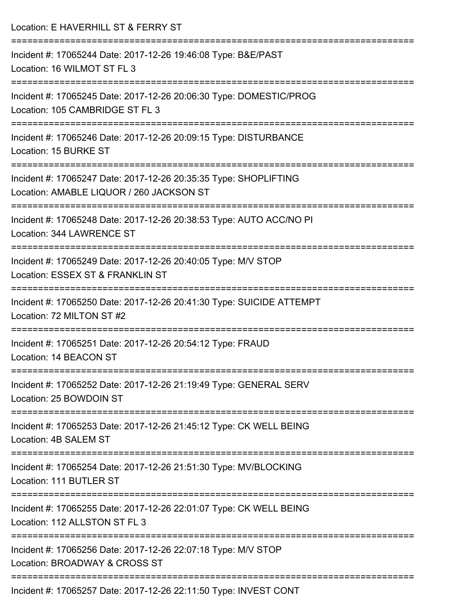| Location: E HAVERHILL ST & FERRY ST                                                                                |
|--------------------------------------------------------------------------------------------------------------------|
| Incident #: 17065244 Date: 2017-12-26 19:46:08 Type: B&E/PAST<br>Location: 16 WILMOT ST FL 3                       |
| Incident #: 17065245 Date: 2017-12-26 20:06:30 Type: DOMESTIC/PROG<br>Location: 105 CAMBRIDGE ST FL 3              |
| Incident #: 17065246 Date: 2017-12-26 20:09:15 Type: DISTURBANCE<br>Location: 15 BURKE ST                          |
| Incident #: 17065247 Date: 2017-12-26 20:35:35 Type: SHOPLIFTING<br>Location: AMABLE LIQUOR / 260 JACKSON ST       |
| Incident #: 17065248 Date: 2017-12-26 20:38:53 Type: AUTO ACC/NO PI<br>Location: 344 LAWRENCE ST                   |
| Incident #: 17065249 Date: 2017-12-26 20:40:05 Type: M/V STOP<br>Location: ESSEX ST & FRANKLIN ST                  |
| Incident #: 17065250 Date: 2017-12-26 20:41:30 Type: SUICIDE ATTEMPT<br>Location: 72 MILTON ST #2                  |
| Incident #: 17065251 Date: 2017-12-26 20:54:12 Type: FRAUD<br>Location: 14 BEACON ST                               |
| Incident #: 17065252 Date: 2017-12-26 21:19:49 Type: GENERAL SERV<br>Location: 25 BOWDOIN ST                       |
| Incident #: 17065253 Date: 2017-12-26 21:45:12 Type: CK WELL BEING<br>Location: 4B SALEM ST                        |
| ===================<br>Incident #: 17065254 Date: 2017-12-26 21:51:30 Type: MV/BLOCKING<br>Location: 111 BUTLER ST |
| Incident #: 17065255 Date: 2017-12-26 22:01:07 Type: CK WELL BEING<br>Location: 112 ALLSTON ST FL 3                |
| Incident #: 17065256 Date: 2017-12-26 22:07:18 Type: M/V STOP<br>Location: BROADWAY & CROSS ST                     |
|                                                                                                                    |

Incident #: 17065257 Date: 2017-12-26 22:11:50 Type: INVEST CONT